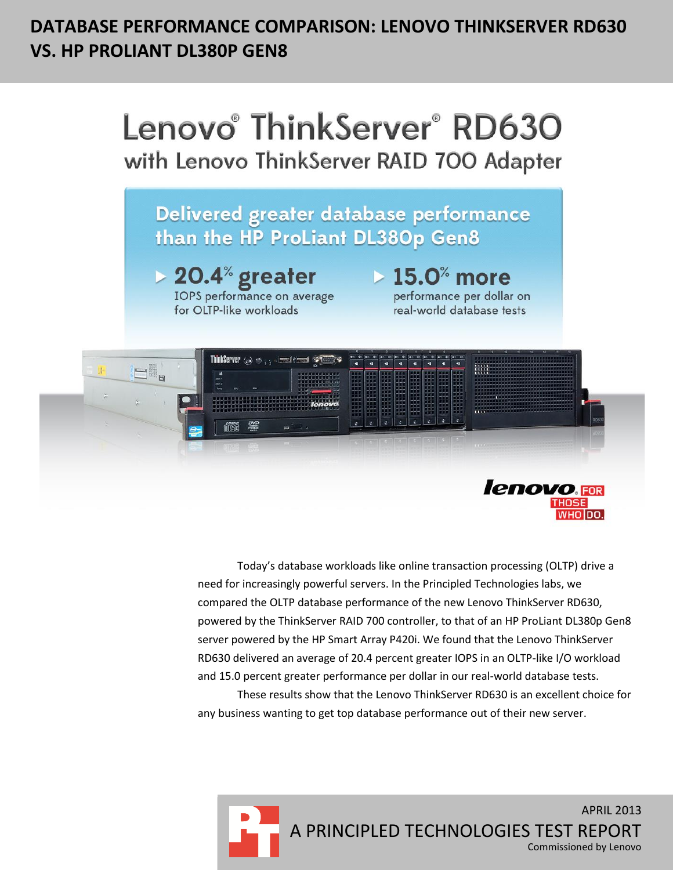# **DATABASE PERFORMANCE COMPARISON: LENOVO THINKSERVER RD630 VS. HP PROLIANT DL380P GEN8**



Today's database workloads like online transaction processing (OLTP) drive a need for increasingly powerful servers. In the Principled Technologies labs, we compared the OLTP database performance of the new Lenovo ThinkServer RD630, powered by the ThinkServer RAID 700 controller, to that of an HP ProLiant DL380p Gen8 server powered by the HP Smart Array P420i. We found that the Lenovo ThinkServer RD630 delivered an average of 20.4 percent greater IOPS in an OLTP-like I/O workload and 15.0 percent greater performance per dollar in our real-world database tests.

These results show that the Lenovo ThinkServer RD630 is an excellent choice for any business wanting to get top database performance out of their new server.

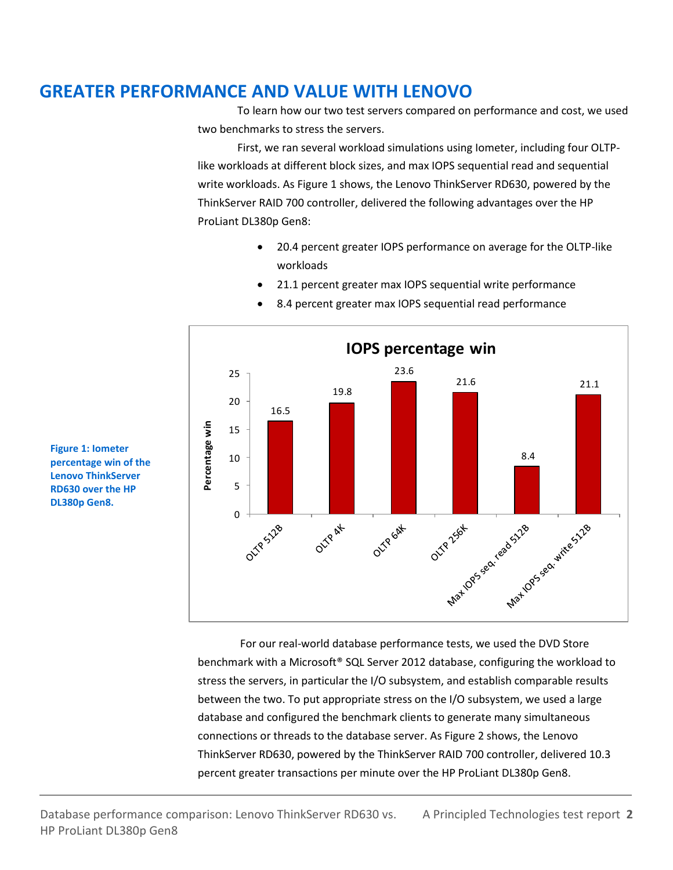# **GREATER PERFORMANCE AND VALUE WITH LENOVO**

To learn how our two test servers compared on performance and cost, we used two benchmarks to stress the servers.

First, we ran several workload simulations using Iometer, including four OLTPlike workloads at different block sizes, and max IOPS sequential read and sequential write workloads. As Figure 1 shows, the Lenovo ThinkServer RD630, powered by the ThinkServer RAID 700 controller, delivered the following advantages over the HP ProLiant DL380p Gen8:

> 20.4 percent greater IOPS performance on average for the OLTP-like workloads

21.1 percent greater max IOPS sequential write performance

- $\frac{25}{25}$ **IOPS percentage win** 25<br>20 23.6 25 21.6 21.1 19.8 20<br>15 20 16.5 15<br>10 Percentage win **Percentage win** 15 8.4 10 5 Max das Sea Max 10ps sea Mat 1085 seat withe 5128 0 OLTP GAX OLTR SIZE OUTP AK
- 8.4 percent greater max IOPS sequential read performance

**Figure 1: Iometer percentage win of the Lenovo ThinkServer RD630 over the HP DL380p Gen8.**

> For our real-world database performance tests, we used the DVD Store benchmark with a Microsoft® SQL Server 2012 database, configuring the workload to stress the servers, in particular the I/O subsystem, and establish comparable results between the two. To put appropriate stress on the I/O subsystem, we used a large database and configured the benchmark clients to generate many simultaneous connections or threads to the database server. As Figure 2 shows, the Lenovo ThinkServer RD630, powered by the ThinkServer RAID 700 controller, delivered 10.3 percent greater transactions per minute over the HP ProLiant DL380p Gen8.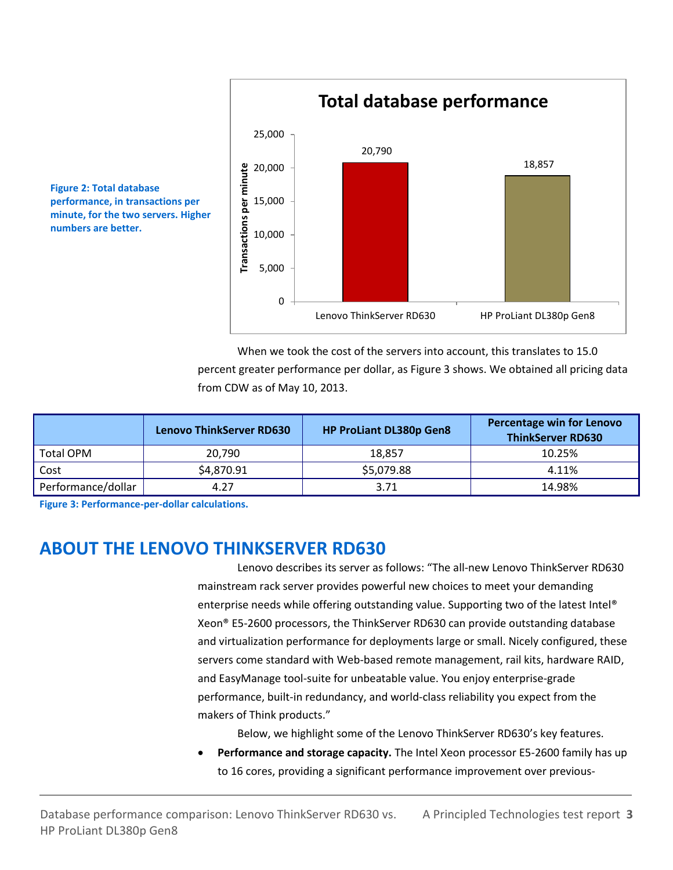

When we took the cost of the servers into account, this translates to 15.0 percent greater performance per dollar, as Figure 3 shows. We obtained all pricing data from CDW as of May 10, 2013.

|                    | <b>Lenovo ThinkServer RD630</b> | <b>HP ProLiant DL380p Gen8</b> | <b>Percentage win for Lenovo</b><br><b>ThinkServer RD630</b> |
|--------------------|---------------------------------|--------------------------------|--------------------------------------------------------------|
| <b>Total OPM</b>   | 20.790                          | 18.857                         | 10.25%                                                       |
| Cost               | \$4,870.91                      | \$5,079.88                     | 4.11%                                                        |
| Performance/dollar | 4.27                            | 3.71                           | 14.98%                                                       |

**Figure 3: Performance-per-dollar calculations.**

**Figure 2: Total database** 

**numbers are better.**

**performance, in transactions per minute, for the two servers. Higher** 

## **ABOUT THE LENOVO THINKSERVER RD630**

Lenovo describes its server as follows: "The all-new Lenovo ThinkServer RD630 mainstream rack server provides powerful new choices to meet your demanding enterprise needs while offering outstanding value. Supporting two of the latest Intel® Xeon® E5-2600 processors, the ThinkServer RD630 can provide outstanding database and virtualization performance for deployments large or small. Nicely configured, these servers come standard with Web-based remote management, rail kits, hardware RAID, and EasyManage tool-suite for unbeatable value. You enjoy enterprise-grade performance, built-in redundancy, and world-class reliability you expect from the makers of Think products."

Below, we highlight some of the Lenovo ThinkServer RD630's key features.

 **Performance and storage capacity.** The Intel Xeon processor E5-2600 family has up to 16 cores, providing a significant performance improvement over previous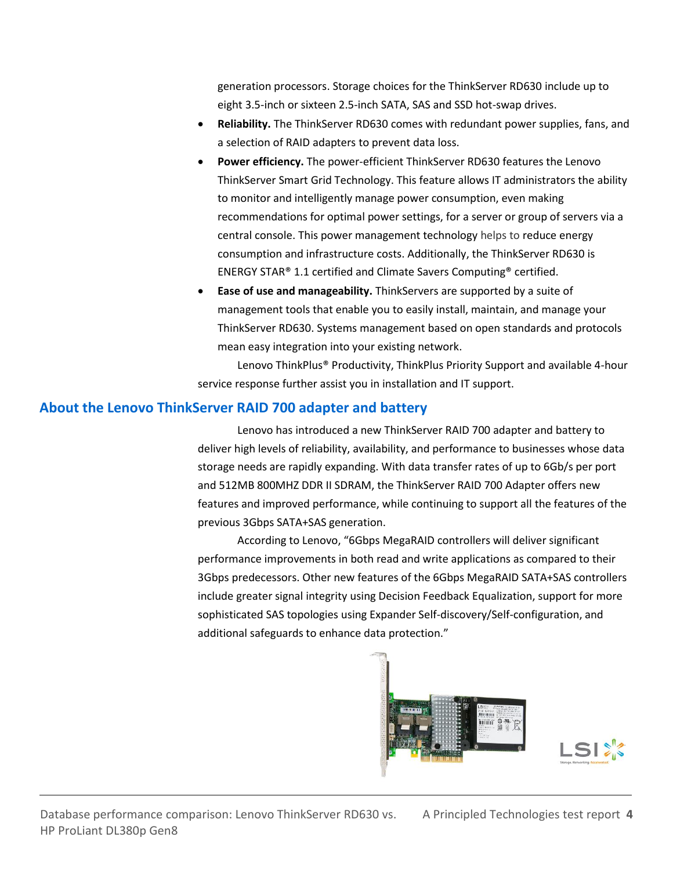generation processors. Storage choices for the ThinkServer RD630 include up to eight 3.5-inch or sixteen 2.5-inch SATA, SAS and SSD hot-swap drives.

- **Reliability.** The ThinkServer RD630 comes with redundant power supplies, fans, and a selection of RAID adapters to prevent data loss.
- **Power efficiency.** The power-efficient ThinkServer RD630 features the Lenovo ThinkServer Smart Grid Technology. This feature allows IT administrators the ability to monitor and intelligently manage power consumption, even making recommendations for optimal power settings, for a server or group of servers via a central console. This power management technology helps to reduce energy consumption and infrastructure costs. Additionally, the ThinkServer RD630 is ENERGY STAR® 1.1 certified and Climate Savers Computing® certified.
- **Ease of use and manageability.** ThinkServers are supported by a suite of management tools that enable you to easily install, maintain, and manage your ThinkServer RD630. Systems management based on open standards and protocols mean easy integration into your existing network.

Lenovo ThinkPlus® Productivity, ThinkPlus Priority Support and available 4-hour service response further assist you in installation and IT support.

### **About the Lenovo ThinkServer RAID 700 adapter and battery**

Lenovo has introduced a new ThinkServer RAID 700 adapter and battery to deliver high levels of reliability, availability, and performance to businesses whose data storage needs are rapidly expanding. With data transfer rates of up to 6Gb/s per port and 512MB 800MHZ DDR II SDRAM, the ThinkServer RAID 700 Adapter offers new features and improved performance, while continuing to support all the features of the previous 3Gbps SATA+SAS generation.

According to Lenovo, "6Gbps MegaRAID controllers will deliver significant performance improvements in both read and write applications as compared to their 3Gbps predecessors. Other new features of the 6Gbps MegaRAID SATA+SAS controllers include greater signal integrity using Decision Feedback Equalization, support for more sophisticated SAS topologies using Expander Self-discovery/Self-configuration, and additional safeguards to enhance data protection."

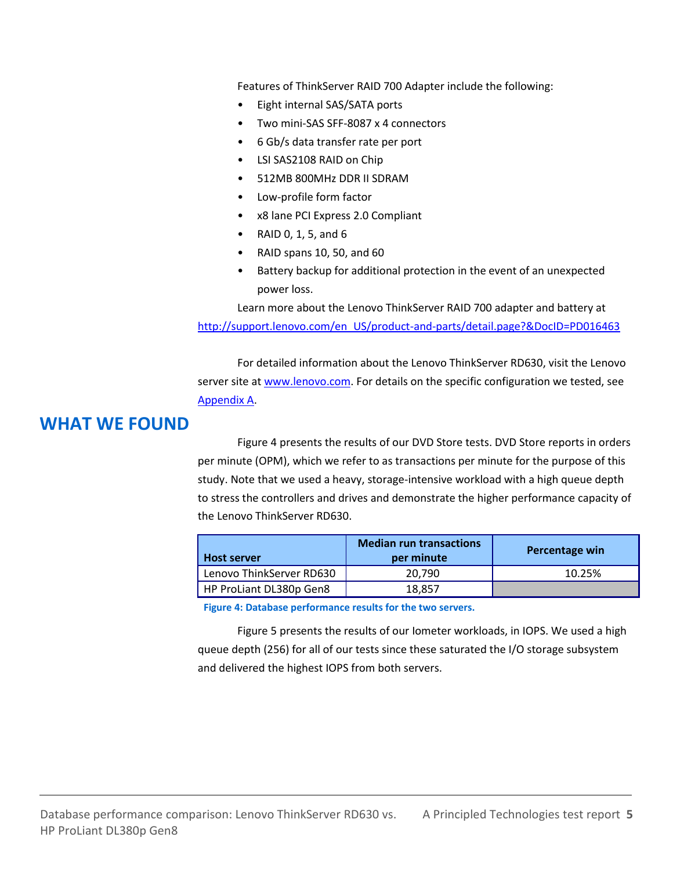Features of ThinkServer RAID 700 Adapter include the following:

- Eight internal SAS/SATA ports
- Two mini-SAS SFF-8087 x 4 connectors
- 6 Gb/s data transfer rate per port
- LSI SAS2108 RAID on Chip
- 512MB 800MHz DDR II SDRAM
- Low-profile form factor
- x8 lane PCI Express 2.0 Compliant
- RAID 0, 1, 5, and 6
- RAID spans 10, 50, and 60
- Battery backup for additional protection in the event of an unexpected power loss.

Learn more about the Lenovo ThinkServer RAID 700 adapter and battery at [http://support.lenovo.com/en\\_US/product-and-parts/detail.page?&DocID=PD016463](http://support.lenovo.com/en_US/product-and-parts/detail.page?&DocID=PD016463)

For detailed information about the Lenovo ThinkServer RD630, visit the Lenovo server site at [www.lenovo.com.](http://www.lenovo.com/) For details on the specific configuration we tested, see [Appendix A.](#page-7-0)

## **WHAT WE FOUND**

Figure 4 presents the results of our DVD Store tests. DVD Store reports in orders per minute (OPM), which we refer to as transactions per minute for the purpose of this study. Note that we used a heavy, storage-intensive workload with a high queue depth to stress the controllers and drives and demonstrate the higher performance capacity of the Lenovo ThinkServer RD630.

| <b>Host server</b>       | <b>Median run transactions</b><br>per minute | Percentage win |
|--------------------------|----------------------------------------------|----------------|
| Lenovo ThinkServer RD630 | 20.790                                       | 10.25%         |
| HP ProLiant DL380p Gen8  | 18,857                                       |                |

**Figure 4: Database performance results for the two servers.**

Figure 5 presents the results of our Iometer workloads, in IOPS. We used a high queue depth (256) for all of our tests since these saturated the I/O storage subsystem and delivered the highest IOPS from both servers.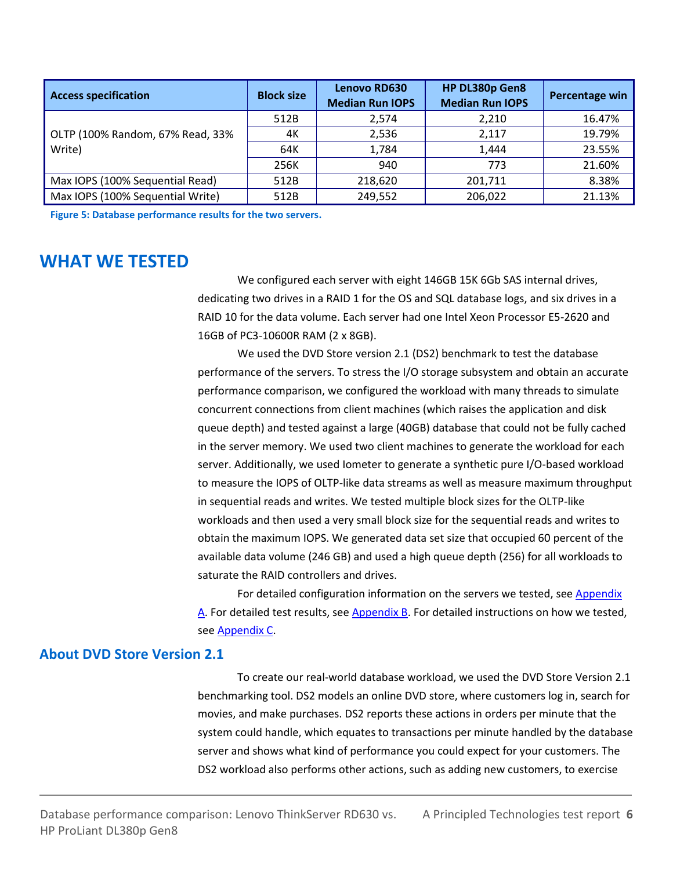| <b>Access specification</b>      | <b>Block size</b> | <b>Lenovo RD630</b><br><b>Median Run IOPS</b> | HP DL380p Gen8<br><b>Median Run IOPS</b> | Percentage win |
|----------------------------------|-------------------|-----------------------------------------------|------------------------------------------|----------------|
|                                  | 512B              | 2,574                                         | 2,210                                    | 16.47%         |
| OLTP (100% Random, 67% Read, 33% | 4К                | 2,536                                         | 2.117                                    | 19.79%         |
| Write)                           | 64K               | 1,784                                         | 1.444                                    | 23.55%         |
|                                  | 256K              | 940                                           | 773                                      | 21.60%         |
| Max IOPS (100% Sequential Read)  | 512B              | 218,620                                       | 201.711                                  | 8.38%          |
| Max IOPS (100% Sequential Write) | 512B              | 249,552                                       | 206,022                                  | 21.13%         |

**Figure 5: Database performance results for the two servers.**

## **WHAT WE TESTED**

We configured each server with eight 146GB 15K 6Gb SAS internal drives, dedicating two drives in a RAID 1 for the OS and SQL database logs, and six drives in a RAID 10 for the data volume. Each server had one Intel Xeon Processor E5-2620 and 16GB of PC3-10600R RAM (2 x 8GB).

We used the DVD Store version 2.1 (DS2) benchmark to test the database performance of the servers. To stress the I/O storage subsystem and obtain an accurate performance comparison, we configured the workload with many threads to simulate concurrent connections from client machines (which raises the application and disk queue depth) and tested against a large (40GB) database that could not be fully cached in the server memory. We used two client machines to generate the workload for each server. Additionally, we used Iometer to generate a synthetic pure I/O-based workload to measure the IOPS of OLTP-like data streams as well as measure maximum throughput in sequential reads and writes. We tested multiple block sizes for the OLTP-like workloads and then used a very small block size for the sequential reads and writes to obtain the maximum IOPS. We generated data set size that occupied 60 percent of the available data volume (246 GB) and used a high queue depth (256) for all workloads to saturate the RAID controllers and drives.

For detailed configuration information on the servers we tested, se[e Appendix](#page-7-0)  [A.](#page-7-0) For detailed test results, see [Appendix B.](#page-9-0) For detailed instructions on how we tested, se[e Appendix C.](#page-10-0)

### **About DVD Store Version 2.1**

To create our real-world database workload, we used the DVD Store Version 2.1 benchmarking tool. DS2 models an online DVD store, where customers log in, search for movies, and make purchases. DS2 reports these actions in orders per minute that the system could handle, which equates to transactions per minute handled by the database server and shows what kind of performance you could expect for your customers. The DS2 workload also performs other actions, such as adding new customers, to exercise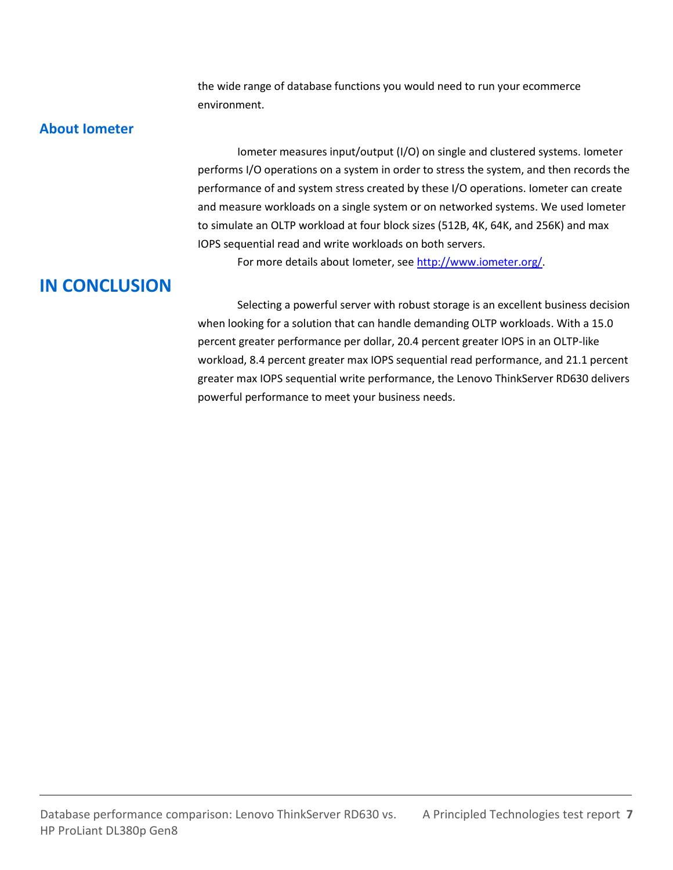the wide range of database functions you would need to run your ecommerce environment.

### **About Iometer**

Iometer measures input/output (I/O) on single and clustered systems. Iometer performs I/O operations on a system in order to stress the system, and then records the performance of and system stress created by these I/O operations. Iometer can create and measure workloads on a single system or on networked systems. We used Iometer to simulate an OLTP workload at four block sizes (512B, 4K, 64K, and 256K) and max IOPS sequential read and write workloads on both servers.

For more details about Iometer, see [http://www.iometer.org/.](http://www.iometer.org/)

# **IN CONCLUSION**

Selecting a powerful server with robust storage is an excellent business decision when looking for a solution that can handle demanding OLTP workloads. With a 15.0 percent greater performance per dollar, 20.4 percent greater IOPS in an OLTP-like workload, 8.4 percent greater max IOPS sequential read performance, and 21.1 percent greater max IOPS sequential write performance, the Lenovo ThinkServer RD630 delivers powerful performance to meet your business needs.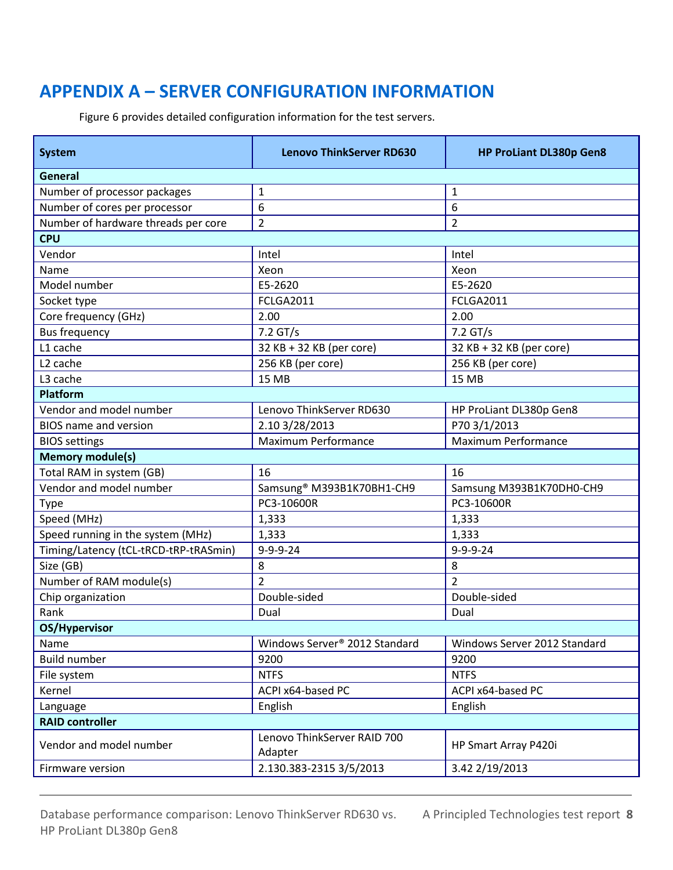# <span id="page-7-0"></span>**APPENDIX A – SERVER CONFIGURATION INFORMATION**

**System Lenovo ThinkServer RD630 HP ProLiant DL380p Gen8 General** Number of processor packages 1 1 Number of cores per processor  $\begin{array}{|c|c|c|c|c|} \hline 6 & 6 \\ \hline \end{array}$ Number of hardware threads per core 2 2 **CPU** Vendor Intel Intel Name Xeon Name Xeon Name Xeon Name Xeon Name Xeon Name Xeon Name Xeon Name Xeon N Model number E5-2620 E5-2620 Socket type FCLGA2011 FCLGA2011 FCLGA2011 Core frequency (GHz) 2.00 2.00 2.00 Bus frequency 2.2 GT/s 2.2 GT/s L1 cache  $32$  KB + 32 KB (per core) 32 KB + 32 KB (per core) L2 cache 256 KB (per core) 256 KB (per core) 256 KB (per core) L3 cache 15 MB 15 MB 15 MB **Platform** Vendor and model number Lenovo ThinkServer RD630 HP ProLiant DL380p Gen8 BIOS name and version 2.10 3/28/2013 P70 3/1/2013 BIOS settings Maximum Performance Maximum Performance **Maximum Performance Memory module(s)** Total RAM in system (GB) 16 16 Vendor and model number <br>Samsung® M393B1K70BH1-CH9 Samsung M393B1K70BH1-CH9 Type PC3-10600R PC3-10600R Speed (MHz)  $\begin{array}{|c|c|c|c|c|} \hline 1,333 & 1,333 \hline \end{array}$ Speed running in the system (MHz) 1,333 1,333 Timing/Latency (tCL-tRCD-tRP-tRASmin) 9-9-9-24 9-9-9-24 Size (GB)  $\begin{array}{|c|c|c|c|c|c|}\hline \text{S} & \text{S} & \text{S} & \text{S} \end{array}$ Number of RAM module(s) 2 2 Chip organization Double-sided Double-sided Rank Dual Dual Dual Dual Dual Dual Dual **OS/Hypervisor** Name Name Windows Server® 2012 Standard Nindows Server 2012 Standard Nindows Server 2012 Standard Build number 9200 9200 9200 9200 File system NTFS NTFS Kernel ACPI x64-based PC ACPI x64-based PC ACPI x64-based PC Language **English** English English English **RAID controller** Vendor and model number Lenovo ThinkServer RAID 700 HP Smart Array P420i Firmware version 2.130.383-2315 3/5/2013 3.42 2/19/2013

Figure 6 provides detailed configuration information for the test servers.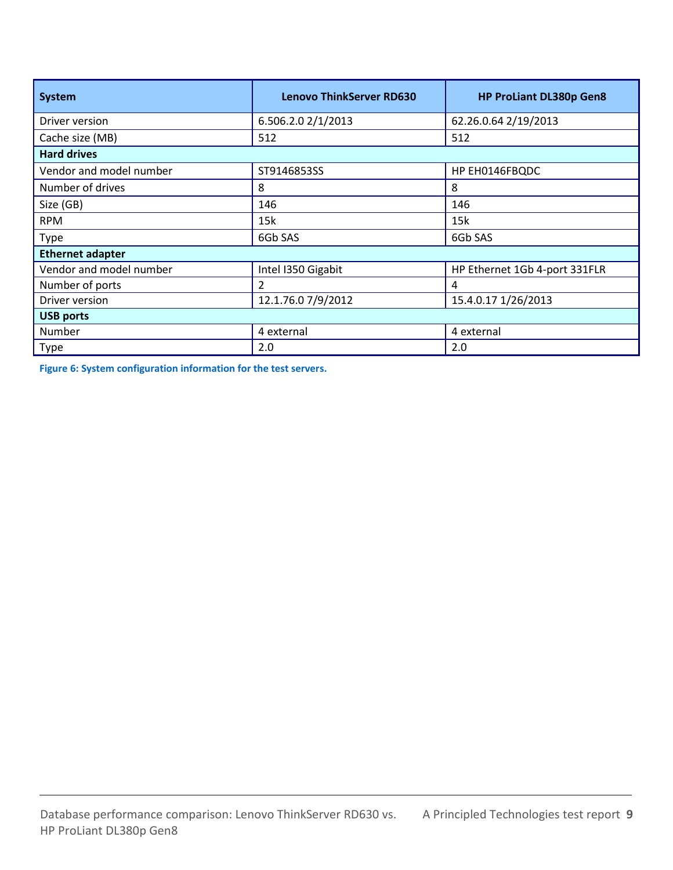| <b>System</b>           | <b>Lenovo ThinkServer RD630</b> | <b>HP ProLiant DL380p Gen8</b> |  |  |
|-------------------------|---------------------------------|--------------------------------|--|--|
| Driver version          | 6.506.2.0 2/1/2013              | 62.26.0.64 2/19/2013           |  |  |
| Cache size (MB)         | 512                             | 512                            |  |  |
| <b>Hard drives</b>      |                                 |                                |  |  |
| Vendor and model number | ST9146853SS                     | HP EH0146FBQDC                 |  |  |
| Number of drives        | 8                               | 8                              |  |  |
| Size (GB)               | 146                             | 146                            |  |  |
| <b>RPM</b>              | 15k                             | 15k                            |  |  |
| Type                    | 6Gb SAS                         | 6Gb SAS                        |  |  |
| <b>Ethernet adapter</b> |                                 |                                |  |  |
| Vendor and model number | Intel I350 Gigabit              | HP Ethernet 1Gb 4-port 331FLR  |  |  |
| Number of ports         | 2                               | 4                              |  |  |
| Driver version          | 12.1.76.0 7/9/2012              | 15.4.0.17 1/26/2013            |  |  |
| <b>USB ports</b>        |                                 |                                |  |  |
| Number                  | 4 external                      | 4 external                     |  |  |
| Type                    | 2.0                             | 2.0                            |  |  |

**Figure 6: System configuration information for the test servers.**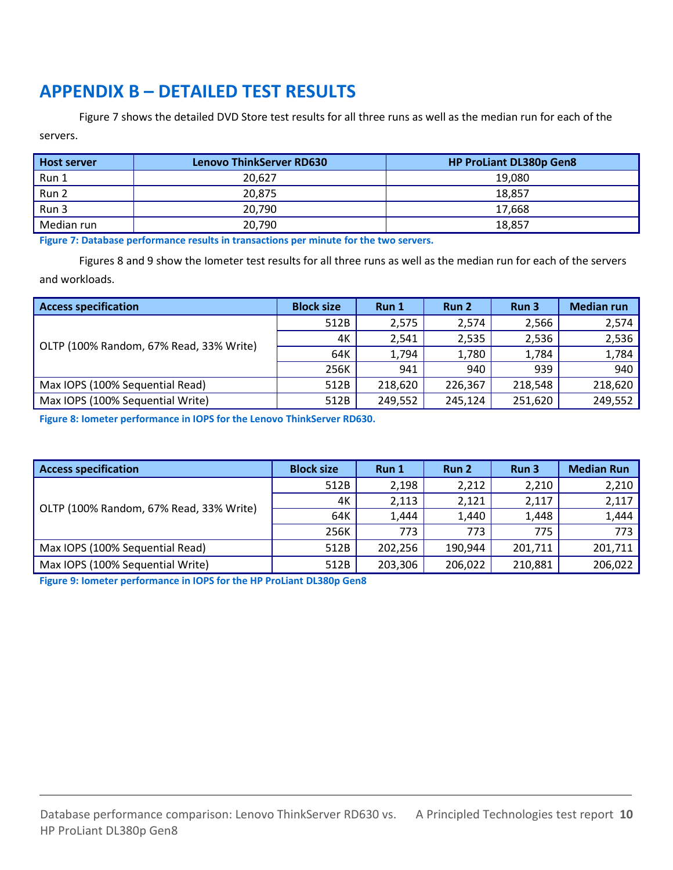# <span id="page-9-0"></span>**APPENDIX B – DETAILED TEST RESULTS**

Figure 7 shows the detailed DVD Store test results for all three runs as well as the median run for each of the servers.

| Host server | <b>Lenovo ThinkServer RD630</b> | <b>HP ProLiant DL380p Gen8</b> |
|-------------|---------------------------------|--------------------------------|
| Run 1       | 20.627                          | 19,080                         |
| Run 2       | 20.875                          | 18.857                         |
| Run 3       | 20,790                          | 17.668                         |
| Median run  | 20.790                          | 18,857                         |

**Figure 7: Database performance results in transactions per minute for the two servers.**

Figures 8 and 9 show the Iometer test results for all three runs as well as the median run for each of the servers and workloads.

| <b>Access specification</b>             | <b>Block size</b> | Run 1   | Run 2   | Run 3   | <b>Median run</b> |
|-----------------------------------------|-------------------|---------|---------|---------|-------------------|
|                                         | 512B              | 2,575   | 2,574   | 2,566   | 2,574             |
|                                         | 4К                | 2,541   | 2,535   | 2,536   | 2,536             |
| OLTP (100% Random, 67% Read, 33% Write) | 64K               | 1,794   | 1,780   | 1,784   | 1,784             |
|                                         | 256K              | 941     | 940     | 939     | 940               |
| Max IOPS (100% Sequential Read)         | 512B              | 218,620 | 226,367 | 218,548 | 218,620           |
| Max IOPS (100% Sequential Write)        | 512B              | 249,552 | 245,124 | 251,620 | 249,552           |

**Figure 8: Iometer performance in IOPS for the Lenovo ThinkServer RD630.**

| <b>Access specification</b>             | <b>Block size</b> | Run 1   | Run 2   | Run 3   | <b>Median Run</b> |
|-----------------------------------------|-------------------|---------|---------|---------|-------------------|
|                                         | 512B              | 2,198   | 2,212   | 2,210   | 2,210             |
|                                         | 4K                | 2,113   | 2,121   | 2,117   | 2,117             |
| OLTP (100% Random, 67% Read, 33% Write) | 64K               | 1,444   | 1,440   | 1,448   | 1,444             |
|                                         | 256K              | 773     | 773     | 775     | 773               |
| Max IOPS (100% Sequential Read)         | 512B              | 202.256 | 190.944 | 201,711 | 201,711           |
| Max IOPS (100% Sequential Write)        | 512B              | 203,306 | 206,022 | 210,881 | 206,022           |

**Figure 9: Iometer performance in IOPS for the HP ProLiant DL380p Gen8**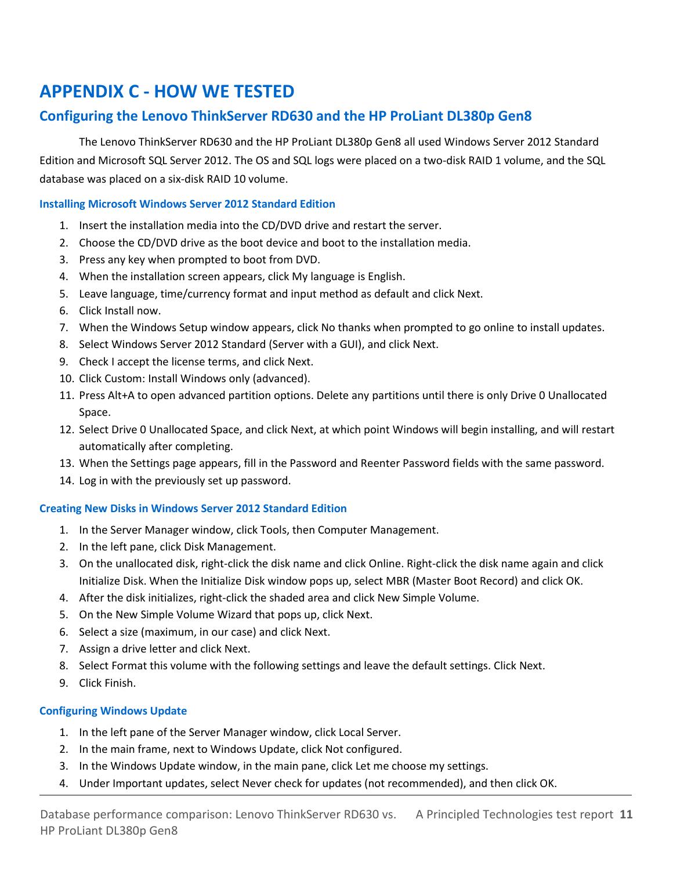# <span id="page-10-0"></span>**APPENDIX C - HOW WE TESTED**

## **Configuring the Lenovo ThinkServer RD630 and the HP ProLiant DL380p Gen8**

The Lenovo ThinkServer RD630 and the HP ProLiant DL380p Gen8 all used Windows Server 2012 Standard Edition and Microsoft SQL Server 2012. The OS and SQL logs were placed on a two-disk RAID 1 volume, and the SQL database was placed on a six-disk RAID 10 volume.

#### **Installing Microsoft Windows Server 2012 Standard Edition**

- 1. Insert the installation media into the CD/DVD drive and restart the server.
- 2. Choose the CD/DVD drive as the boot device and boot to the installation media.
- 3. Press any key when prompted to boot from DVD.
- 4. When the installation screen appears, click My language is English.
- 5. Leave language, time/currency format and input method as default and click Next.
- 6. Click Install now.
- 7. When the Windows Setup window appears, click No thanks when prompted to go online to install updates.
- 8. Select Windows Server 2012 Standard (Server with a GUI), and click Next.
- 9. Check I accept the license terms, and click Next.
- 10. Click Custom: Install Windows only (advanced).
- 11. Press Alt+A to open advanced partition options. Delete any partitions until there is only Drive 0 Unallocated Space.
- 12. Select Drive 0 Unallocated Space, and click Next, at which point Windows will begin installing, and will restart automatically after completing.
- 13. When the Settings page appears, fill in the Password and Reenter Password fields with the same password.
- 14. Log in with the previously set up password.

#### **Creating New Disks in Windows Server 2012 Standard Edition**

- 1. In the Server Manager window, click Tools, then Computer Management.
- 2. In the left pane, click Disk Management.
- 3. On the unallocated disk, right-click the disk name and click Online. Right-click the disk name again and click Initialize Disk. When the Initialize Disk window pops up, select MBR (Master Boot Record) and click OK.
- 4. After the disk initializes, right-click the shaded area and click New Simple Volume.
- 5. On the New Simple Volume Wizard that pops up, click Next.
- 6. Select a size (maximum, in our case) and click Next.
- 7. Assign a drive letter and click Next.
- 8. Select Format this volume with the following settings and leave the default settings. Click Next.
- 9. Click Finish.

#### **Configuring Windows Update**

- 1. In the left pane of the Server Manager window, click Local Server.
- 2. In the main frame, next to Windows Update, click Not configured.
- 3. In the Windows Update window, in the main pane, click Let me choose my settings.
- 4. Under Important updates, select Never check for updates (not recommended), and then click OK.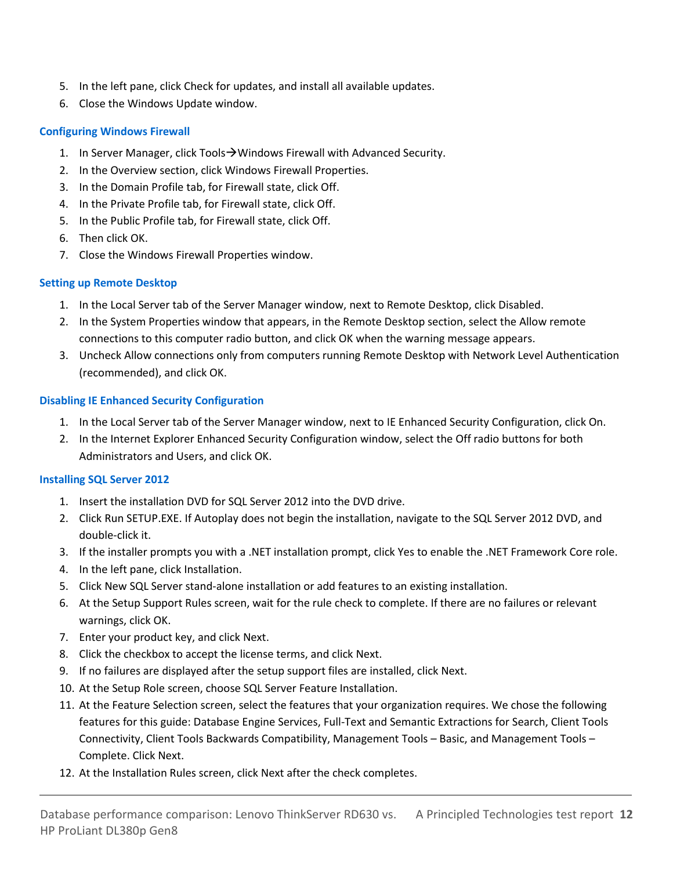- 5. In the left pane, click Check for updates, and install all available updates.
- 6. Close the Windows Update window.

#### **Configuring Windows Firewall**

- 1. In Server Manager, click Tools  $\rightarrow$  Windows Firewall with Advanced Security.
- 2. In the Overview section, click Windows Firewall Properties.
- 3. In the Domain Profile tab, for Firewall state, click Off.
- 4. In the Private Profile tab, for Firewall state, click Off.
- 5. In the Public Profile tab, for Firewall state, click Off.
- 6. Then click OK.
- 7. Close the Windows Firewall Properties window.

#### **Setting up Remote Desktop**

- 1. In the Local Server tab of the Server Manager window, next to Remote Desktop, click Disabled.
- 2. In the System Properties window that appears, in the Remote Desktop section, select the Allow remote connections to this computer radio button, and click OK when the warning message appears.
- 3. Uncheck Allow connections only from computers running Remote Desktop with Network Level Authentication (recommended), and click OK.

#### **Disabling IE Enhanced Security Configuration**

- 1. In the Local Server tab of the Server Manager window, next to IE Enhanced Security Configuration, click On.
- 2. In the Internet Explorer Enhanced Security Configuration window, select the Off radio buttons for both Administrators and Users, and click OK.

#### **Installing SQL Server 2012**

- 1. Insert the installation DVD for SQL Server 2012 into the DVD drive.
- 2. Click Run SETUP.EXE. If Autoplay does not begin the installation, navigate to the SQL Server 2012 DVD, and double-click it.
- 3. If the installer prompts you with a .NET installation prompt, click Yes to enable the .NET Framework Core role.
- 4. In the left pane, click Installation.
- 5. Click New SQL Server stand-alone installation or add features to an existing installation.
- 6. At the Setup Support Rules screen, wait for the rule check to complete. If there are no failures or relevant warnings, click OK.
- 7. Enter your product key, and click Next.
- 8. Click the checkbox to accept the license terms, and click Next.
- 9. If no failures are displayed after the setup support files are installed, click Next.
- 10. At the Setup Role screen, choose SQL Server Feature Installation.
- 11. At the Feature Selection screen, select the features that your organization requires. We chose the following features for this guide: Database Engine Services, Full-Text and Semantic Extractions for Search, Client Tools Connectivity, Client Tools Backwards Compatibility, Management Tools – Basic, and Management Tools – Complete. Click Next.
- 12. At the Installation Rules screen, click Next after the check completes.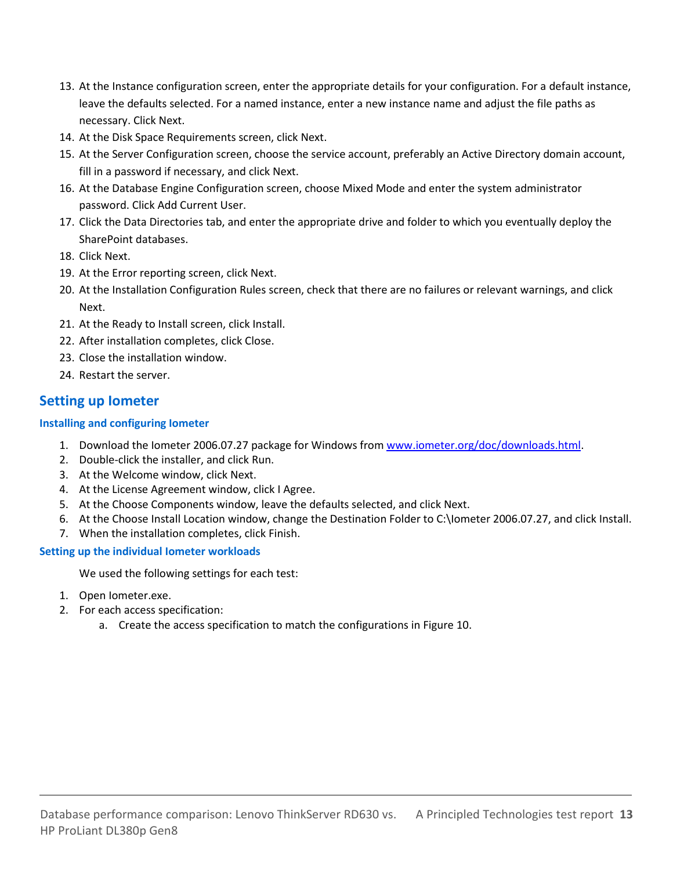- 13. At the Instance configuration screen, enter the appropriate details for your configuration. For a default instance, leave the defaults selected. For a named instance, enter a new instance name and adjust the file paths as necessary. Click Next.
- 14. At the Disk Space Requirements screen, click Next.
- 15. At the Server Configuration screen, choose the service account, preferably an Active Directory domain account, fill in a password if necessary, and click Next.
- 16. At the Database Engine Configuration screen, choose Mixed Mode and enter the system administrator password. Click Add Current User.
- 17. Click the Data Directories tab, and enter the appropriate drive and folder to which you eventually deploy the SharePoint databases.
- 18. Click Next.
- 19. At the Error reporting screen, click Next.
- 20. At the Installation Configuration Rules screen, check that there are no failures or relevant warnings, and click Next.
- 21. At the Ready to Install screen, click Install.
- 22. After installation completes, click Close.
- 23. Close the installation window.
- 24. Restart the server.

### **Setting up Iometer**

#### **Installing and configuring Iometer**

- 1. Download the Iometer 2006.07.27 package for Windows fro[m www.iometer.org/doc/downloads.html.](http://www.iometer.org/doc/downloads.html)
- 2. Double-click the installer, and click Run.
- 3. At the Welcome window, click Next.
- 4. At the License Agreement window, click I Agree.
- 5. At the Choose Components window, leave the defaults selected, and click Next.
- 6. At the Choose Install Location window, change the Destination Folder to C:\Iometer 2006.07.27, and click Install.
- 7. When the installation completes, click Finish.

#### **Setting up the individual Iometer workloads**

We used the following settings for each test:

- 1. Open Iometer.exe.
- 2. For each access specification:
	- a. Create the access specification to match the configurations in Figure 10.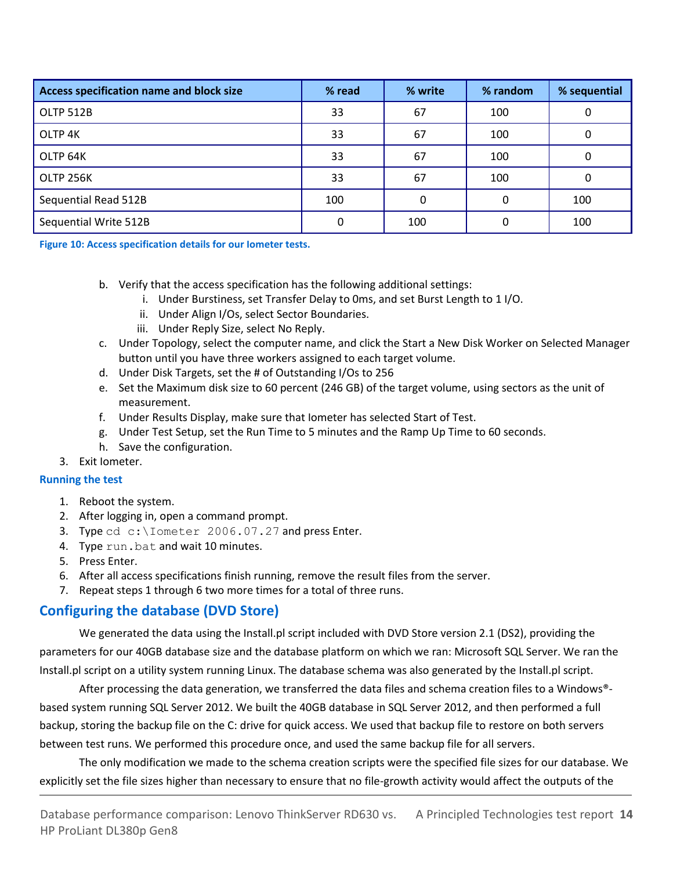| Access specification name and block size | % read | % write | % random | % sequential |
|------------------------------------------|--------|---------|----------|--------------|
| OLTP 512B                                | 33     | 67      | 100      |              |
| OLTP <sub>4K</sub>                       | 33     | 67      | 100      |              |
| OLTP 64K                                 | 33     | 67      | 100      |              |
| OLTP 256K                                | 33     | 67      | 100      |              |
| Sequential Read 512B                     | 100    | 0       |          | 100          |
| Sequential Write 512B                    | 0      | 100     |          | 100          |

**Figure 10: Access specification details for our Iometer tests.** 

- b. Verify that the access specification has the following additional settings:
	- i. Under Burstiness, set Transfer Delay to 0ms, and set Burst Length to 1 I/O.
	- ii. Under Align I/Os, select Sector Boundaries.
	- iii. Under Reply Size, select No Reply.
- c. Under Topology, select the computer name, and click the Start a New Disk Worker on Selected Manager button until you have three workers assigned to each target volume.
- d. Under Disk Targets, set the # of Outstanding I/Os to 256
- e. Set the Maximum disk size to 60 percent (246 GB) of the target volume, using sectors as the unit of measurement.
- f. Under Results Display, make sure that Iometer has selected Start of Test.
- g. Under Test Setup, set the Run Time to 5 minutes and the Ramp Up Time to 60 seconds.
- h. Save the configuration.
- 3. Exit Iometer.

#### **Running the test**

- 1. Reboot the system.
- 2. After logging in, open a command prompt.
- 3. Type cd c: \Iometer 2006.07.27 and press Enter.
- 4. Type run.bat and wait 10 minutes.
- 5. Press Enter.
- 6. After all access specifications finish running, remove the result files from the server.
- 7. Repeat steps 1 through 6 two more times for a total of three runs.

### **Configuring the database (DVD Store)**

We generated the data using the Install.pl script included with DVD Store version 2.1 (DS2), providing the parameters for our 40GB database size and the database platform on which we ran: Microsoft SQL Server. We ran the Install.pl script on a utility system running Linux. The database schema was also generated by the Install.pl script.

After processing the data generation, we transferred the data files and schema creation files to a Windows®based system running SQL Server 2012. We built the 40GB database in SQL Server 2012, and then performed a full backup, storing the backup file on the C: drive for quick access. We used that backup file to restore on both servers between test runs. We performed this procedure once, and used the same backup file for all servers.

The only modification we made to the schema creation scripts were the specified file sizes for our database. We explicitly set the file sizes higher than necessary to ensure that no file-growth activity would affect the outputs of the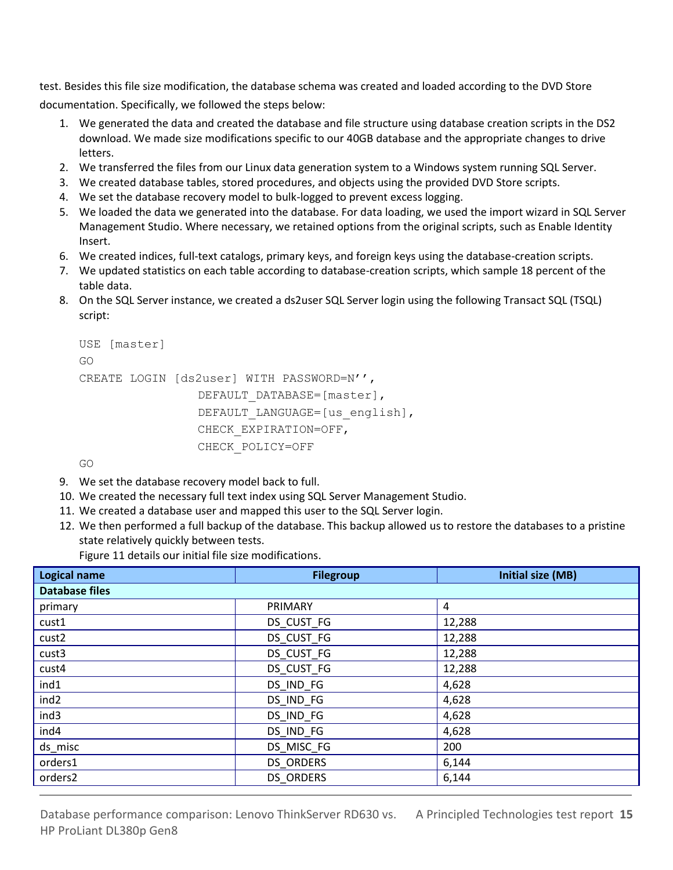test. Besides this file size modification, the database schema was created and loaded according to the DVD Store documentation. Specifically, we followed the steps below:

- 1. We generated the data and created the database and file structure using database creation scripts in the DS2 download. We made size modifications specific to our 40GB database and the appropriate changes to drive letters.
- 2. We transferred the files from our Linux data generation system to a Windows system running SQL Server.
- 3. We created database tables, stored procedures, and objects using the provided DVD Store scripts.
- 4. We set the database recovery model to bulk-logged to prevent excess logging.
- 5. We loaded the data we generated into the database. For data loading, we used the import wizard in SQL Server Management Studio. Where necessary, we retained options from the original scripts, such as Enable Identity Insert.
- 6. We created indices, full-text catalogs, primary keys, and foreign keys using the database-creation scripts.
- 7. We updated statistics on each table according to database-creation scripts, which sample 18 percent of the table data.
- 8. On the SQL Server instance, we created a ds2user SQL Server login using the following Transact SQL (TSQL) script:

```
USE [master]
GO
CREATE LOGIN [ds2user] WITH PASSWORD=N'',
                DEFAULT_DATABASE=[master],
                DEFAULT_LANGUAGE=[us english],
                CHECK_EXPIRATION=OFF,
                CHECK_POLICY=OFF
```
GO

- 9. We set the database recovery model back to full.
- 10. We created the necessary full text index using SQL Server Management Studio.
- 11. We created a database user and mapped this user to the SQL Server login.
- 12. We then performed a full backup of the database. This backup allowed us to restore the databases to a pristine state relatively quickly between tests.

Figure 11 details our initial file size modifications.

| <b>Logical name</b>   | <b>Filegroup</b> | <b>Initial size (MB)</b> |  |  |  |
|-----------------------|------------------|--------------------------|--|--|--|
| <b>Database files</b> |                  |                          |  |  |  |
| primary               | PRIMARY          | 4                        |  |  |  |
| cust1                 | DS CUST FG       | 12,288                   |  |  |  |
| cust <sub>2</sub>     | DS_CUST_FG       | 12,288                   |  |  |  |
| cust <sub>3</sub>     | DS_CUST_FG       | 12,288                   |  |  |  |
| cust4                 | DS CUST FG       | 12,288                   |  |  |  |
| ind1                  | DS IND FG        | 4,628                    |  |  |  |
| ind <sub>2</sub>      | DS_IND_FG        | 4,628                    |  |  |  |
| ind3                  | DS_IND_FG        | 4,628                    |  |  |  |
| ind4                  | DS_IND_FG        | 4,628                    |  |  |  |
| ds_misc               | DS_MISC_FG       | 200                      |  |  |  |
| orders1               | <b>DS ORDERS</b> | 6,144                    |  |  |  |
| orders2               | <b>DS ORDERS</b> | 6,144                    |  |  |  |

Database performance comparison: Lenovo ThinkServer RD630 vs. A Principled Technologies test report 15 HP ProLiant DL380p Gen8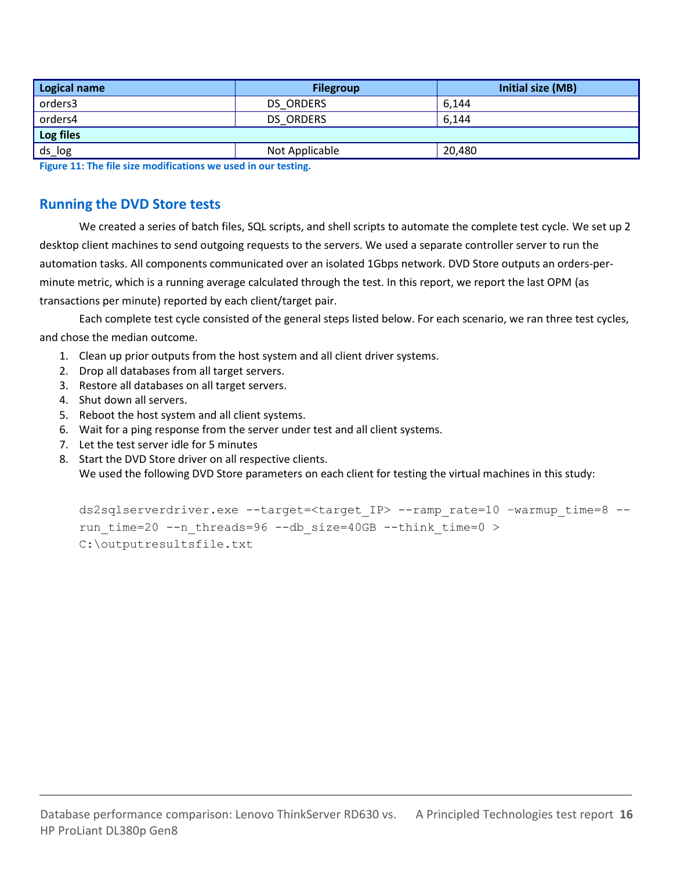| <b>Logical name</b>                                                                                             | <b>Filegroup</b> | Initial size (MB) |  |  |  |
|-----------------------------------------------------------------------------------------------------------------|------------------|-------------------|--|--|--|
| orders3                                                                                                         | <b>DS ORDERS</b> | 6,144             |  |  |  |
| orders4                                                                                                         | <b>DS ORDERS</b> | 6,144             |  |  |  |
| Log files                                                                                                       |                  |                   |  |  |  |
| ds_log                                                                                                          | Not Applicable   | 20,480            |  |  |  |
| the contract of the contract of the contract of the contract of the contract of the contract of the contract of |                  |                   |  |  |  |

**Figure 11: The file size modifications we used in our testing.**

### **Running the DVD Store tests**

We created a series of batch files, SQL scripts, and shell scripts to automate the complete test cycle. We set up 2 desktop client machines to send outgoing requests to the servers. We used a separate controller server to run the automation tasks. All components communicated over an isolated 1Gbps network. DVD Store outputs an orders-perminute metric, which is a running average calculated through the test. In this report, we report the last OPM (as transactions per minute) reported by each client/target pair.

Each complete test cycle consisted of the general steps listed below. For each scenario, we ran three test cycles, and chose the median outcome.

- 1. Clean up prior outputs from the host system and all client driver systems.
- 2. Drop all databases from all target servers.
- 3. Restore all databases on all target servers.
- 4. Shut down all servers.
- 5. Reboot the host system and all client systems.
- 6. Wait for a ping response from the server under test and all client systems.
- 7. Let the test server idle for 5 minutes
- 8. Start the DVD Store driver on all respective clients. We used the following DVD Store parameters on each client for testing the virtual machines in this study:

ds2sqlserverdriver.exe --target=<target\_IP> --ramp\_rate=10 –warmup\_time=8 - run time=20 --n threads=96 --db size=40GB --think time=0 > C:\outputresultsfile.txt